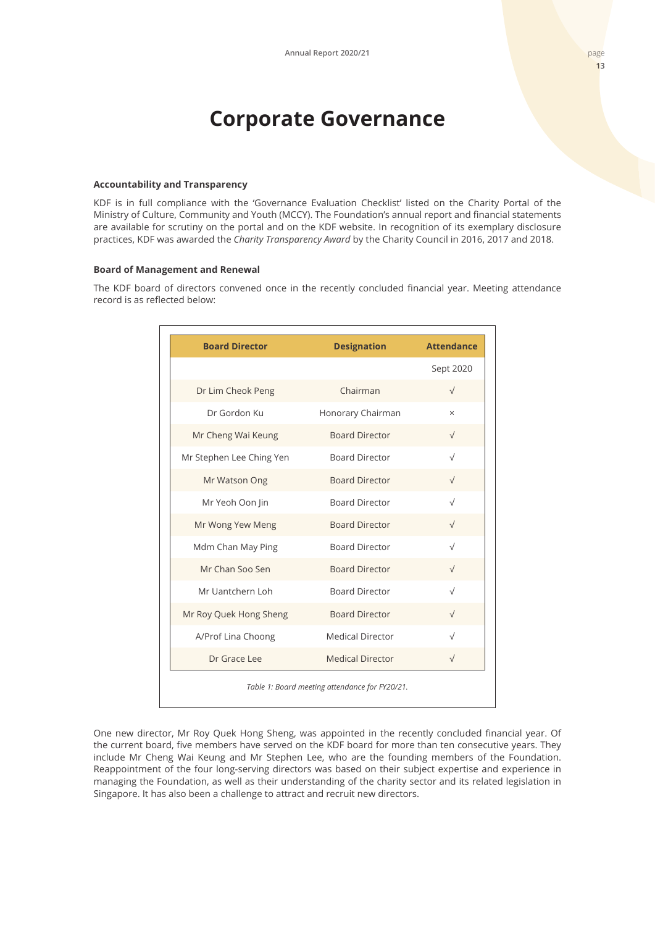# **Corporate Governance**

## **Accountability and Transparency**

KDF is in full compliance with the 'Governance Evaluation Checklist' listed on the Charity Portal of the Ministry of Culture, Community and Youth (MCCY). The Foundation's annual report and financial statements are available for scrutiny on the portal and on the KDF website. In recognition of its exemplary disclosure practices, KDF was awarded the *Charity Transparency Award* by the Charity Council in 2016, 2017 and 2018.

# **Board of Management and Renewal**

The KDF board of directors convened once in the recently concluded financial year. Meeting attendance record is as reflected below:

| <b>Board Director</b>    | <b>Designation</b>      | <b>Attendance</b> |
|--------------------------|-------------------------|-------------------|
|                          |                         | Sept 2020         |
| Dr Lim Cheok Peng        | Chairman                | $\sqrt{}$         |
| Dr Gordon Ku             | Honorary Chairman       | $\times$          |
| Mr Cheng Wai Keung       | <b>Board Director</b>   | $\sqrt{}$         |
| Mr Stephen Lee Ching Yen | <b>Board Director</b>   | $\sqrt{}$         |
| Mr Watson Ong            | <b>Board Director</b>   | $\sqrt{}$         |
| Mr Yeoh Oon Jin          | <b>Board Director</b>   | $\sqrt{ }$        |
| Mr Wong Yew Meng         | <b>Board Director</b>   |                   |
| Mdm Chan May Ping        | <b>Board Director</b>   | $\sqrt{}$         |
| Mr Chan Soo Sen          | <b>Board Director</b>   | $\sqrt{}$         |
| Mr Uantchern Loh         | <b>Board Director</b>   | $\sqrt{ }$        |
| Mr Roy Quek Hong Sheng   | <b>Board Director</b>   |                   |
| A/Prof Lina Choong       | <b>Medical Director</b> | $\sqrt{}$         |
| Dr Grace Lee             | <b>Medical Director</b> | $\sqrt{}$         |

One new director, Mr Roy Quek Hong Sheng, was appointed in the recently concluded financial year. Of the current board, five members have served on the KDF board for more than ten consecutive years. They include Mr Cheng Wai Keung and Mr Stephen Lee, who are the founding members of the Foundation. Reappointment of the four long-serving directors was based on their subject expertise and experience in managing the Foundation, as well as their understanding of the charity sector and its related legislation in Singapore. It has also been a challenge to attract and recruit new directors.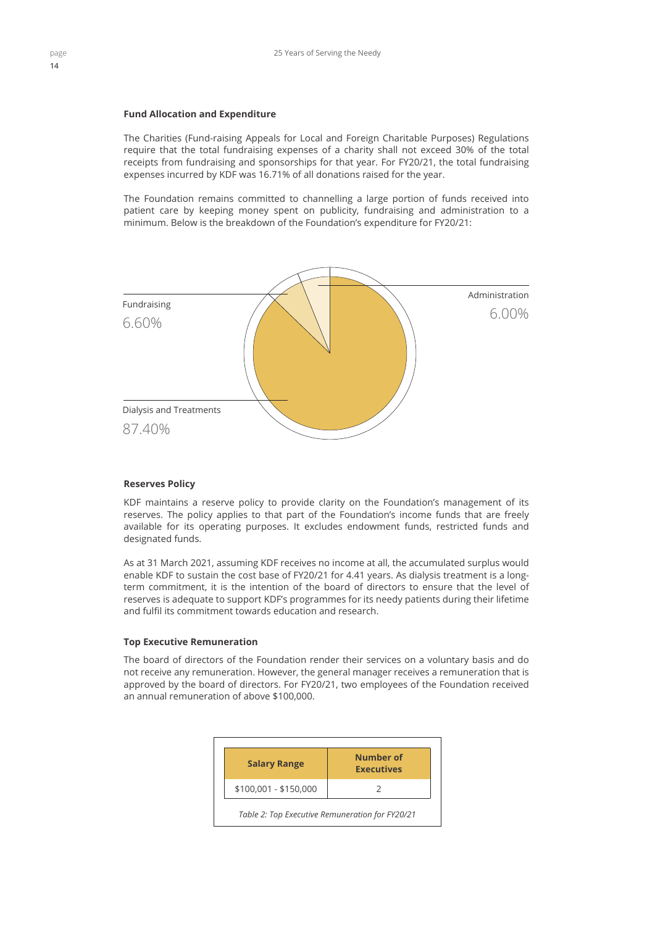#### **Fund Allocation and Expenditure**

The Charities (Fund-raising Appeals for Local and Foreign Charitable Purposes) Regulations require that the total fundraising expenses of a charity shall not exceed 30% of the total receipts from fundraising and sponsorships for that year. For FY20/21, the total fundraising expenses incurred by KDF was 16.71% of all donations raised for the year.

The Foundation remains committed to channelling a large portion of funds received into patient care by keeping money spent on publicity, fundraising and administration to a minimum. Below is the breakdown of the Foundation's expenditure for FY20/21:



#### **Reserves Policy**

KDF maintains a reserve policy to provide clarity on the Foundation's management of its reserves. The policy applies to that part of the Foundation's income funds that are freely available for its operating purposes. It excludes endowment funds, restricted funds and designated funds.

As at 31 March 2021, assuming KDF receives no income at all, the accumulated surplus would enable KDF to sustain the cost base of FY20/21 for 4.41 years. As dialysis treatment is a longterm commitment, it is the intention of the board of directors to ensure that the level of reserves is adequate to support KDF's programmes for its needy patients during their lifetime and fulfil its commitment towards education and research.

# **Top Executive Remuneration**

The board of directors of the Foundation render their services on a voluntary basis and do not receive any remuneration. However, the general manager receives a remuneration that is approved by the board of directors. For FY20/21, two employees of the Foundation received an annual remuneration of above \$100,000.